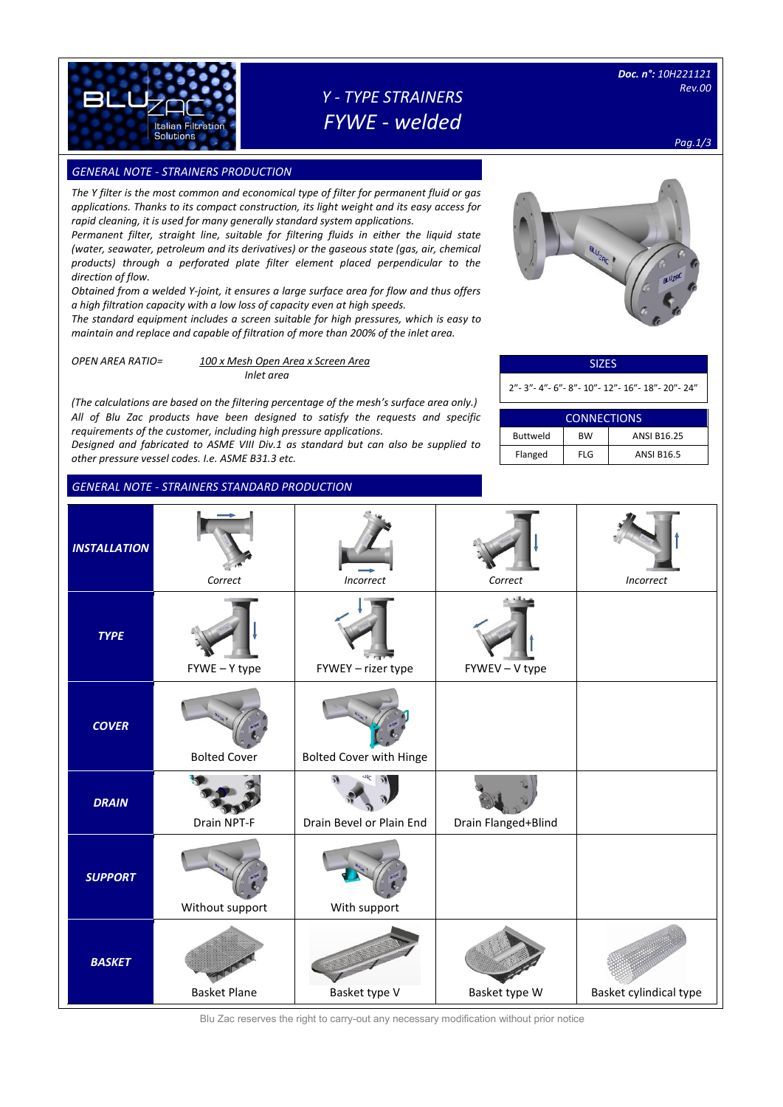

# *Y - TYPE STRAINERS FYWE - welded*

*Pag.1/3*

## **GENERAL NOTE - STRAINERS PRODUCTION**

*The Y filter is the most common and economical type of filter for permanent fluid or gas applications. Thanks to its compact construction, its light weight and its easy access for rapid cleaning, it is used for many generally standard system applications.*

*Permanent filter, straight line, suitable for filtering fluids in either the liquid state (water, seawater, petroleum and its derivatives) or the gaseous state (gas, air, chemical products) through a perforated plate filter element placed perpendicular to the direction of flow.*

*Obtained from a welded Y-joint, it ensures a large surface area for flow and thus offers a high filtration capacity with a low loss of capacity even at high speeds.* 

*The standard equipment includes a screen suitable for high pressures, which is easy to maintain and replace and capable of filtration of more than 200% of the inlet area.*

*OPEN AREA RATIO= 100 x Mesh Open Area x Screen Area Inlet area*

*(The calculations are based on the filtering percentage of the mesh's surface area only.) All of Blu Zac products have been designed to satisfy the requests and specific requirements of the customer, including high pressure applications.* 

*Designed and fabricated to ASME VIII Div.1 as standard but can also be supplied to other pressure vessel codes. I.e. ASME B31.3 etc.*

#### *GENERAL NOTE - STRAINERS STANDARD PRODUCTION*



### SIZES

2"- 3"- 4"- 6"- 8"- 10"- 12"- 16"- 18"- 20"- 24"

| <b>CONNECTIONS</b> |           |                    |  |  |  |  |  |  |
|--------------------|-----------|--------------------|--|--|--|--|--|--|
| <b>Buttweld</b>    | <b>BW</b> | <b>ANSI B16.25</b> |  |  |  |  |  |  |
| Flanged            | $FI$ G    | <b>ANSI B16.5</b>  |  |  |  |  |  |  |

|                     | <b>GENERAL NOTE - STRAINERS STANDARD PRODUCTION</b> |                          |                     |                        |
|---------------------|-----------------------------------------------------|--------------------------|---------------------|------------------------|
| <b>INSTALLATION</b> | Correct                                             | Incorrect                | Correct             | Incorrect              |
| <b>TYPE</b>         | FYWE - Y type                                       | FYWEY - rizer type       | FYWEV - V type      |                        |
| <b>COVER</b>        | <b>Bolted Cover</b>                                 | Bolted Cover with Hinge  |                     |                        |
| <b>DRAIN</b>        | Drain NPT-F                                         | Drain Bevel or Plain End | Drain Flanged+Blind |                        |
| <b>SUPPORT</b>      | Without support                                     | With support             |                     |                        |
| <b>BASKET</b>       | <b>Basket Plane</b>                                 | Basket type V            | Basket type W       | Basket cylindical type |

Blu Zac reserves the right to carry-out any necessary modification without prior notice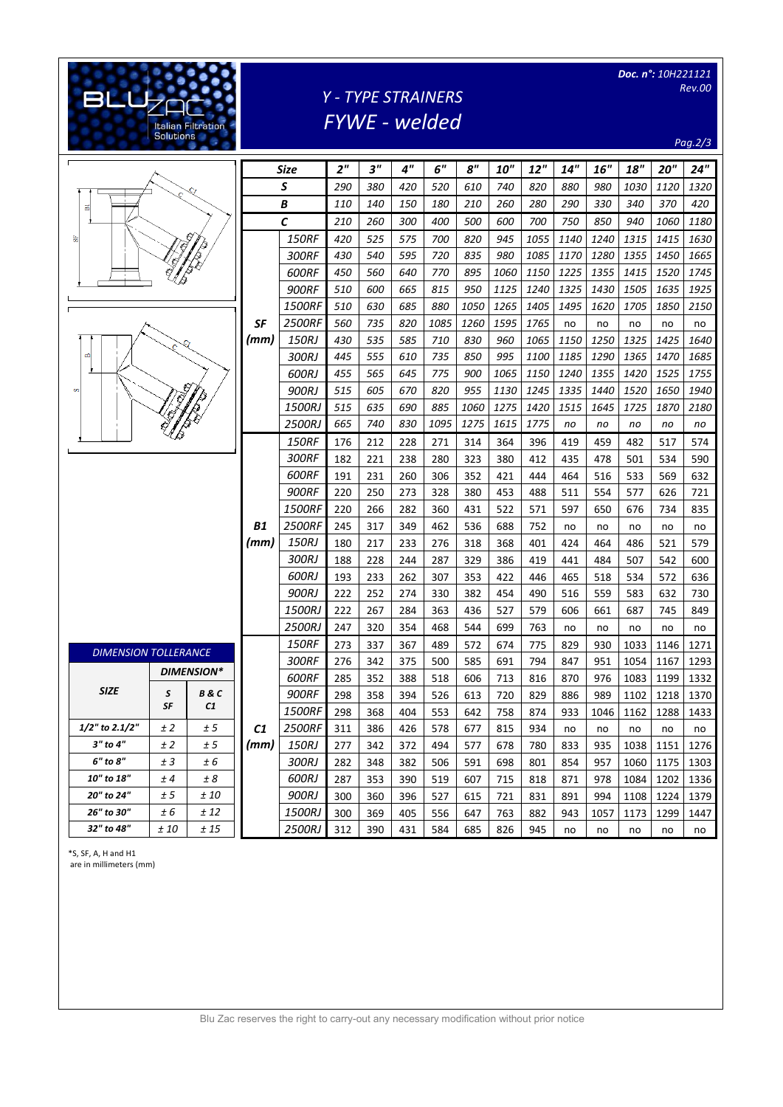|                             | <b>Solutions</b>  | <b>Italian Filtration</b> |                    |                 |                 |                 |            | Y - TYPE STRAINERS<br><b>FYWE</b> - welded |            |            |            |            |            | Doc. n°: 10H221121 |            | <b>Rev.00</b><br>Pag.2/3 |
|-----------------------------|-------------------|---------------------------|--------------------|-----------------|-----------------|-----------------|------------|--------------------------------------------|------------|------------|------------|------------|------------|--------------------|------------|--------------------------|
|                             |                   | <b>Size</b>               |                    | 2 <sup>''</sup> | 3 <sup>''</sup> | 4 <sup>''</sup> | 6"         | 8''                                        | <b>10"</b> | 12"        | 14"        | 16"        | 18"        | 20"                | 24"        |                          |
|                             |                   |                           | $\pmb{\mathsf{S}}$ |                 | 290             | 380             | 420        | 520                                        | 610        | 740        | 820        | 880        | 980        | 1030               | 1120       | 1320                     |
| 품                           |                   |                           | В                  |                 | 110             | 140             | 150        | 180                                        | 210        | 260        | 280        | 290        | 330        | 340                | 370        | 420                      |
|                             |                   |                           | C                  |                 | 210             | 260             | 300        | 400                                        | 500        | 600        | 700        | 750        | 850        | 940                | 1060       | 1180                     |
| ÷.                          |                   | IJ                        |                    | <b>150RF</b>    | 420             | 525             | 575        | 700                                        | 820        | 945        | 1055       | 1140       | 1240       | 1315               | 1415       | 1630                     |
|                             |                   |                           |                    | 300RF           | 430             | 540             | 595        | 720                                        | 835        | 980        | 1085       | 1170       | 1280       | 1355               | 1450       | 1665                     |
|                             |                   |                           |                    | 600RF           | 450             | 560             | 640        | 770                                        | 895        | 1060       | 1150       | 1225       | 1355       | 1415               | 1520       | 1745                     |
|                             |                   |                           |                    | <b>900RF</b>    | 510             | 600             | 665        | 815                                        | 950        | 1125       | 1240       | 1325       | 1430       | 1505               | 1635       | 1925                     |
|                             |                   |                           |                    | 1500RF          | 510             | 630             | 685        | 880                                        | 1050       | 1265       | 1405       | 1495       | 1620       | 1705               | 1850       | 2150                     |
|                             |                   |                           | SF                 | 2500RF          | 560             | 735             | 820        | 1085                                       | 1260       | 1595       | 1765       | no         | no         | no                 | no         | no                       |
|                             |                   |                           | (mm)               | 150RJ           | 430             | 535             | 585        | 710                                        | 830        | 960        | 1065       | 1150       | 1250       | 1325               | 1425       | 1640                     |
| $\mathbf{r}$                |                   |                           |                    | 300RJ           | 445             | 555             | 610        | 735                                        | 850        | 995        | 1100       | 1185       | 1290       | 1365               | 1470       | 1685                     |
|                             |                   |                           |                    | 600RJ           | 455             | 565             | 645        | 775                                        | 900        | 1065       | 1150       | 1240       | 1355       | 1420               | 1525       | 1755                     |
| v.                          |                   |                           |                    | 900RJ           | 515             | 605             | 670        | 820                                        | 955        | 1130       | 1245       | 1335       | 1440       | 1520               | 1650       | 1940                     |
|                             |                   |                           |                    | <i>1500RJ</i>   | 515             | 635             | 690        | 885                                        | 1060       | 1275       | 1420       | 1515       | 1645       | 1725               | 1870       | 2180                     |
|                             |                   |                           | 2500RJ             | 665             | 740             | 830             | 1095       | 1275                                       | 1615       | 1775       | no         | no         | no         | no                 | no         |                          |
|                             |                   |                           |                    | <b>150RF</b>    | 176             | 212             | 228        | 271                                        | 314        | 364        | 396        | 419        | 459        | 482                | 517        | 574                      |
|                             |                   |                           | 300RF              | 182             | 221             | 238             | 280        | 323                                        | 380        | 412        | 435        | 478        | 501        | 534                | 590        |                          |
|                             |                   |                           | 600RF              | 191             | 231             | 260             | 306        | 352                                        | 421        | 444        | 464        | 516        | 533        | 569                | 632        |                          |
|                             |                   |                           |                    | <b>900RF</b>    | 220             | 250             | 273        | 328                                        | 380        | 453        | 488        | 511        | 554        | 577                | 626        | 721                      |
|                             |                   |                           | B1<br>(mm)         | 1500RF          | 220             | 266             | 282        | 360                                        | 431        | 522        | 571        | 597        | 650        | 676                | 734        | 835                      |
|                             |                   |                           |                    | <i>2500RF</i>   | 245             | 317             | 349        | 462                                        | 536        | 688        | 752        | no         | no         | no                 | no         | no                       |
|                             |                   |                           |                    | 150RJ           | 180             | 217             | 233        | 276                                        | 318        | 368        | 401        | 424        | 464        | 486                | 521        | 579                      |
|                             |                   |                           |                    | 300RJ           | 188             | 228             | 244        | 287                                        | 329        | 386        | 419        | 441        | 484        | 507                | 542        | 600                      |
|                             |                   |                           |                    | 600RJ           | 193             | 233             | 262        | 307                                        | 353        | 422        | 446        | 465        | 518        | 534                | 572        | 636                      |
|                             |                   |                           |                    | 900RJ<br>1500RJ | 222<br>222      | 252<br>267      | 274<br>284 | 330<br>363                                 | 382<br>436 | 454<br>527 | 490        | 516<br>606 | 559<br>661 | 583<br>687         | 632<br>745 | 730<br>849               |
|                             |                   |                           |                    | 2500RJ          | 247             | 320             | 354        | 468                                        | 544        | 699        | 579<br>763 | no         | no         | no                 | no         | no                       |
|                             |                   |                           |                    | <b>150RF</b>    | 273             | 337             | 367        | 489                                        | 572        | 674        | 775        | 829        | 930        | 1033               | 1146       | 1271                     |
| <b>DIMENSION TOLLERANCE</b> |                   |                           |                    | 300RF           | 276             | 342             | 375        | 500                                        | 585        | 691        | 794        | 847        | 951        | 1054               | 1167       | 1293                     |
|                             | <b>DIMENSION*</b> |                           |                    | 600RF           | 285             | 352             | 388        | 518                                        | 606        | 713        | 816        | 870        | 976        | 1083               | 1199       | 1332                     |
| <b>SIZE</b>                 | S                 | <b>B&amp;C</b>            |                    | 900RF           | 298             | 358             | 394        | 526                                        | 613        | 720        | 829        | 886        | 989        | 1102               |            | 1218 1370                |
|                             | SF                | C1                        |                    | 1500RF          | 298             | 368             | 404        | 553                                        | 642        | 758        | 874        | 933        | 1046       | 1162               | 1288       | 1433                     |
| $1/2$ " to 2.1/2"           | ±2                | ± 5                       | C1                 | <b>2500RF</b>   | 311             | 386             | 426        | 578                                        | 677        | 815        | 934        | no         | no         | no                 | no         | no                       |
| 3" to 4"                    | ±2                | ± 5                       | (mm)               | 150RJ           | 277             | 342             | 372        | 494                                        | 577        | 678        | 780        | 833        | 935        | 1038               | 1151       | 1276                     |
| 6" to 8"                    | ± 3               | ± 6                       |                    | 300RJ           | 282             | 348             | 382        | 506                                        | 591        | 698        | 801        | 854        | 957        | 1060               | 1175       | 1303                     |
| 10" to 18"                  | ± 4               | ± 8                       |                    | 600RJ           | 287             | 353             | 390        | 519                                        | 607        | 715        | 818        | 871        | 978        | 1084               | 1202       | 1336                     |
| 20" to 24"                  | ± 5               | ± 10                      |                    | 900RJ           | 300             | 360             | 396        | 527                                        | 615        | 721        | 831        | 891        | 994        | 1108               | 1224       | 1379                     |
| 26" to 30"                  | ± 6               | ± 12                      |                    | 1500RJ          | 300             | 369             | 405        | 556                                        | 647        | 763        | 882        | 943        | 1057       | 1173               | 1299       | 1447                     |
| 32" to 48"                  | ± 10              | ±15                       |                    | 2500RJ          | 312             | 390             | 431        | 584                                        | 685        | 826        | 945        | no         | no         | no                 | no         | no                       |

\*S, SF, A, H and H1

are in millimeters (mm)